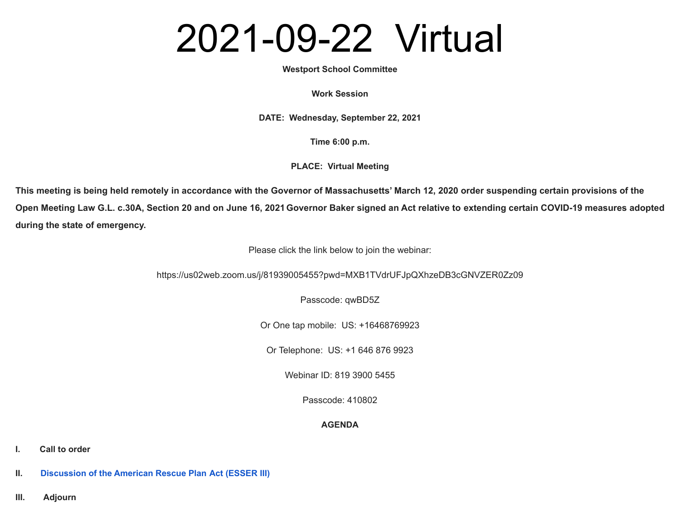# 2021-09-22 Virtual

### **Westport School Committee**

#### **Work Session**

**DATE: Wednesday, September 22, 2021**

**Time 6:00 p.m.**

**PLACE: Virtual Meeting**

**This meeting is being held remotely in accordance with the Governor of Massachusetts' March 12, 2020 order suspending certain provisions of the Open Meeting Law G.L. c.30A, Section 20 and on June 16, 2021 Governor Baker signed an Act relative to extending certain COVID-19 measures adopted during the state of emergency.**

Please click the link below to join the webinar:

https://us02web.zoom.us/j/81939005455?pwd=MXB1TVdrUFJpQXhzeDB3cGNVZER0Zz09

Passcode: qwBD5Z

Or One tap mobile: US: +16468769923

Or Telephone: US: +1 646 876 9923

Webinar ID: 819 3900 5455

Passcode: 410802

## **AGENDA**

**I. Call to order**

**II. [Discussion](https://docs.google.com/a/westportschools.org/viewer?a=v&pid=sites&srcid=d2VzdHBvcnRzY2hvb2xzLm9yZ3xzY2hvb2wtY29tbWl0dGVlLWJhY2t1cHxneDo0MGMxYWMyY2NjY2E1MGQ1) of the American Rescue Plan Act (ESSER III)**

**III. Adjourn**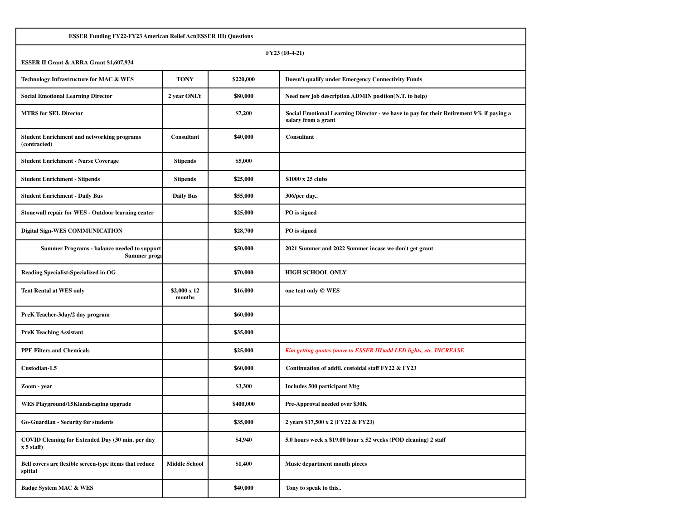| <b>ESSER Funding FY22-FY23 American Relief Act(ESSER III) Questions</b>   |                              |           |                                                                                                                |  |  |
|---------------------------------------------------------------------------|------------------------------|-----------|----------------------------------------------------------------------------------------------------------------|--|--|
| FY23 (10-4-21)<br>ESSER II Grant & ARRA Grant \$1,607,934                 |                              |           |                                                                                                                |  |  |
| Technology Infrastructure for MAC & WES                                   | <b>TONY</b>                  | \$220,000 | <b>Doesn't qualify under Emergency Connectivity Funds</b>                                                      |  |  |
| <b>Social Emotional Learning Director</b>                                 | 2 year ONLY                  | \$80,000  | Need new job description ADMIN position(N.T. to help)                                                          |  |  |
| <b>MTRS</b> for SEL Director                                              |                              | \$7,200   | Social Emotional Learning Director - we have to pay for their Retirement 9% if paying a<br>salary from a grant |  |  |
| <b>Student Enrichment and networking programs</b><br>(contracted)         | Consultant                   | \$40,000  | Consultant                                                                                                     |  |  |
| <b>Student Enrichment - Nurse Coverage</b>                                | <b>Stipends</b>              | \$5,000   |                                                                                                                |  |  |
| <b>Student Enrichment - Stipends</b>                                      | <b>Stipends</b>              | \$25,000  | \$1000 x 25 clubs                                                                                              |  |  |
| <b>Student Enrichment - Daily Bus</b>                                     | <b>Daily Bus</b>             | \$55,000  | 306/per day                                                                                                    |  |  |
| Stonewall repair for WES - Outdoor learning center                        |                              | \$25,000  | PO is signed                                                                                                   |  |  |
| <b>Digital Sign-WES COMMUNICATION</b>                                     |                              | \$28,700  | PO is signed                                                                                                   |  |  |
| <b>Summer Programs - balance needed to support</b><br><b>Summer progr</b> |                              | \$50,000  | 2021 Summer and 2022 Summer incase we don't get grant                                                          |  |  |
| <b>Reading Specialist-Specialized in OG</b>                               |                              | \$70,000  | <b>HIGH SCHOOL ONLY</b>                                                                                        |  |  |
| <b>Tent Rental at WES only</b>                                            | $$2,000 \times 12$<br>months | \$16,000  | one tent only @ WES                                                                                            |  |  |
| PreK Teacher-3day/2 day program                                           |                              | \$60,000  |                                                                                                                |  |  |
| <b>PreK Teaching Assistant</b>                                            |                              | \$35,000  |                                                                                                                |  |  |
| <b>PPE Filters and Chemicals</b>                                          |                              | \$25,000  | Kim getting quotes (move to ESSER III) add LED lights, etc. INCREASE                                           |  |  |
| Custodian-1.5                                                             |                              | \$60,000  | Continuation of addtl. custoidal staff FY22 & FY23                                                             |  |  |
| Zoom - year                                                               |                              | \$3,300   | <b>Includes 500 participant Mtg</b>                                                                            |  |  |
| WES Playground/15Klandscaping upgrade                                     |                              | \$400,000 | Pre-Approval needed over \$30K                                                                                 |  |  |
| Go-Guardian - Security for students                                       |                              | \$35,000  | 2 years \$17,500 x 2 (FY22 & FY23)                                                                             |  |  |
| COVID Cleaning for Extended Day (30 min. per day<br>$x 5$ staff)          |                              | \$4,940   | 5.0 hours week x \$19.00 hour x 52 weeks (POD cleaning) 2 staff                                                |  |  |
| Bell covers are flexible screen-type items that reduce<br>spittal         | <b>Middle School</b>         | \$1,400   | Music department mouth pieces                                                                                  |  |  |
| <b>Badge System MAC &amp; WES</b>                                         |                              | \$40,000  | Tony to speak to this                                                                                          |  |  |